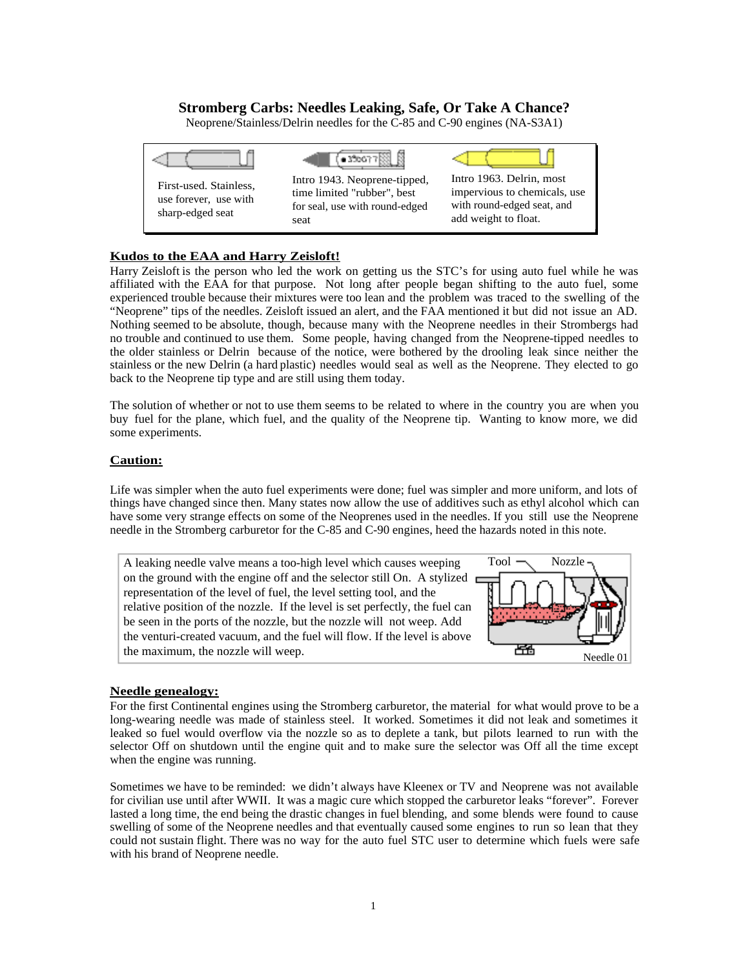# **Stromberg Carbs: Needles Leaking, Safe, Or Take A Chance?**

Neoprene/Stainless/Delrin needles for the C-85 and C-90 engines (NA-S3A1)



### **Kudos to the EAA and Harry Zeisloft!**

Harry Zeisloft is the person who led the work on getting us the STC's for using auto fuel while he was affiliated with the EAA for that purpose. Not long after people began shifting to the auto fuel, some experienced trouble because their mixtures were too lean and the problem was traced to the swelling of the "Neoprene" tips of the needles. Zeisloft issued an alert, and the FAA mentioned it but did not issue an AD. Nothing seemed to be absolute, though, because many with the Neoprene needles in their Strombergs had no trouble and continued to use them. Some people, having changed from the Neoprene-tipped needles to the older stainless or Delrin because of the notice, were bothered by the drooling leak since neither the stainless or the new Delrin (a hard plastic) needles would seal as well as the Neoprene. They elected to go back to the Neoprene tip type and are still using them today.

The solution of whether or not to use them seems to be related to where in the country you are when you buy fuel for the plane, which fuel, and the quality of the Neoprene tip. Wanting to know more, we did some experiments.

#### **Caution:**

Life was simpler when the auto fuel experiments were done; fuel was simpler and more uniform, and lots of things have changed since then. Many states now allow the use of additives such as ethyl alcohol which can have some very strange effects on some of the Neoprenes used in the needles. If you still use the Neoprene needle in the Stromberg carburetor for the C-85 and C-90 engines, heed the hazards noted in this note.



### **Needle genealogy:**

For the first Continental engines using the Stromberg carburetor, the material for what would prove to be a long-wearing needle was made of stainless steel. It worked. Sometimes it did not leak and sometimes it leaked so fuel would overflow via the nozzle so as to deplete a tank, but pilots learned to run with the selector Off on shutdown until the engine quit and to make sure the selector was Off all the time except when the engine was running.

Sometimes we have to be reminded: we didn't always have Kleenex or TV and Neoprene was not available for civilian use until after WWII. It was a magic cure which stopped the carburetor leaks "forever". Forever lasted a long time, the end being the drastic changes in fuel blending, and some blends were found to cause swelling of some of the Neoprene needles and that eventually caused some engines to run so lean that they could not sustain flight. There was no way for the auto fuel STC user to determine which fuels were safe with his brand of Neoprene needle.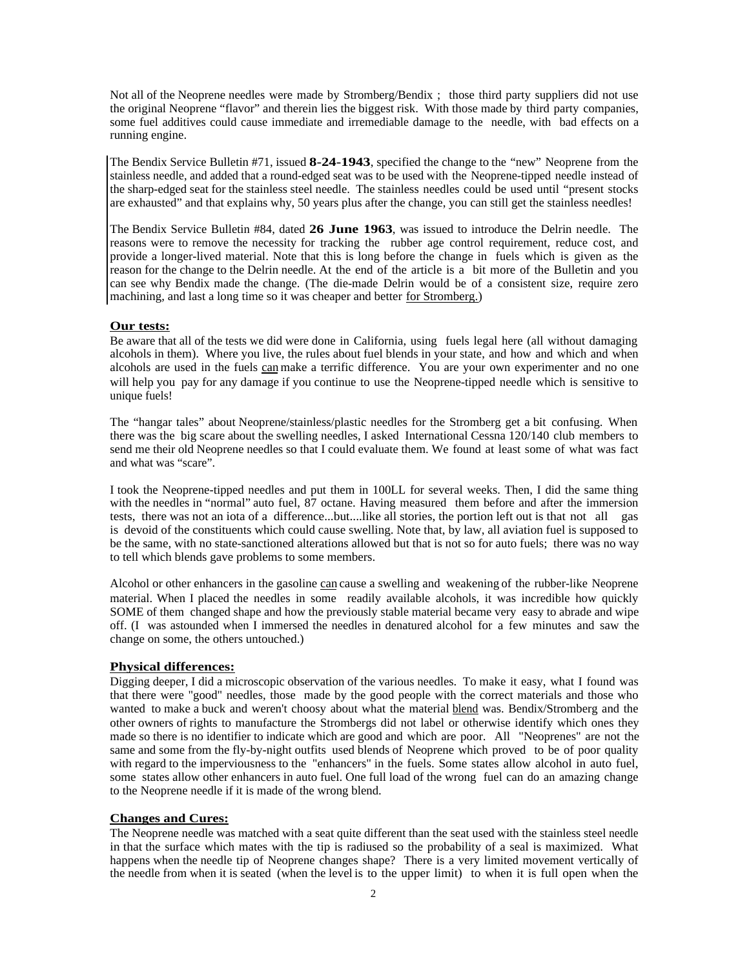Not all of the Neoprene needles were made by Stromberg/Bendix ; those third party suppliers did not use the original Neoprene "flavor" and therein lies the biggest risk. With those made by third party companies, some fuel additives could cause immediate and irremediable damage to the needle, with bad effects on a running engine.

The Bendix Service Bulletin #71, issued **8-24-1943**, specified the change to the "new" Neoprene from the stainless needle, and added that a round-edged seat was to be used with the Neoprene-tipped needle instead of the sharp-edged seat for the stainless steel needle. The stainless needles could be used until "present stocks are exhausted" and that explains why, 50 years plus after the change, you can still get the stainless needles!

The Bendix Service Bulletin #84, dated **26 June 1963**, was issued to introduce the Delrin needle. The reasons were to remove the necessity for tracking the rubber age control requirement, reduce cost, and provide a longer-lived material. Note that this is long before the change in fuels which is given as the reason for the change to the Delrin needle. At the end of the article is a bit more of the Bulletin and you can see why Bendix made the change. (The die-made Delrin would be of a consistent size, require zero machining, and last a long time so it was cheaper and better for Stromberg.)

#### **Our tests:**

Be aware that all of the tests we did were done in California, using fuels legal here (all without damaging alcohols in them). Where you live, the rules about fuel blends in your state, and how and which and when alcohols are used in the fuels can make a terrific difference. You are your own experimenter and no one will help you pay for any damage if you continue to use the Neoprene-tipped needle which is sensitive to unique fuels!

The "hangar tales" about Neoprene/stainless/plastic needles for the Stromberg get a bit confusing. When there was the big scare about the swelling needles, I asked International Cessna 120/140 club members to send me their old Neoprene needles so that I could evaluate them. We found at least some of what was fact and what was "scare".

I took the Neoprene-tipped needles and put them in 100LL for several weeks. Then, I did the same thing with the needles in "normal" auto fuel, 87 octane. Having measured them before and after the immersion tests, there was not an iota of a difference...but....like all stories, the portion left out is that not all gas is devoid of the constituents which could cause swelling. Note that, by law, all aviation fuel is supposed to be the same, with no state-sanctioned alterations allowed but that is not so for auto fuels; there was no way to tell which blends gave problems to some members.

Alcohol or other enhancers in the gasoline can cause a swelling and weakening of the rubber-like Neoprene material. When I placed the needles in some readily available alcohols, it was incredible how quickly SOME of them changed shape and how the previously stable material became very easy to abrade and wipe off. (I was astounded when I immersed the needles in denatured alcohol for a few minutes and saw the change on some, the others untouched.)

### **Physical differences:**

Digging deeper, I did a microscopic observation of the various needles. To make it easy, what I found was that there were "good" needles, those made by the good people with the correct materials and those who wanted to make a buck and weren't choosy about what the material blend was. Bendix/Stromberg and the other owners of rights to manufacture the Strombergs did not label or otherwise identify which ones they made so there is no identifier to indicate which are good and which are poor. All "Neoprenes" are not the same and some from the fly-by-night outfits used blends of Neoprene which proved to be of poor quality with regard to the imperviousness to the "enhancers" in the fuels. Some states allow alcohol in auto fuel, some states allow other enhancers in auto fuel. One full load of the wrong fuel can do an amazing change to the Neoprene needle if it is made of the wrong blend.

#### **Changes and Cures:**

The Neoprene needle was matched with a seat quite different than the seat used with the stainless steel needle in that the surface which mates with the tip is radiused so the probability of a seal is maximized. What happens when the needle tip of Neoprene changes shape? There is a very limited movement vertically of the needle from when it is seated (when the level is to the upper limit) to when it is full open when the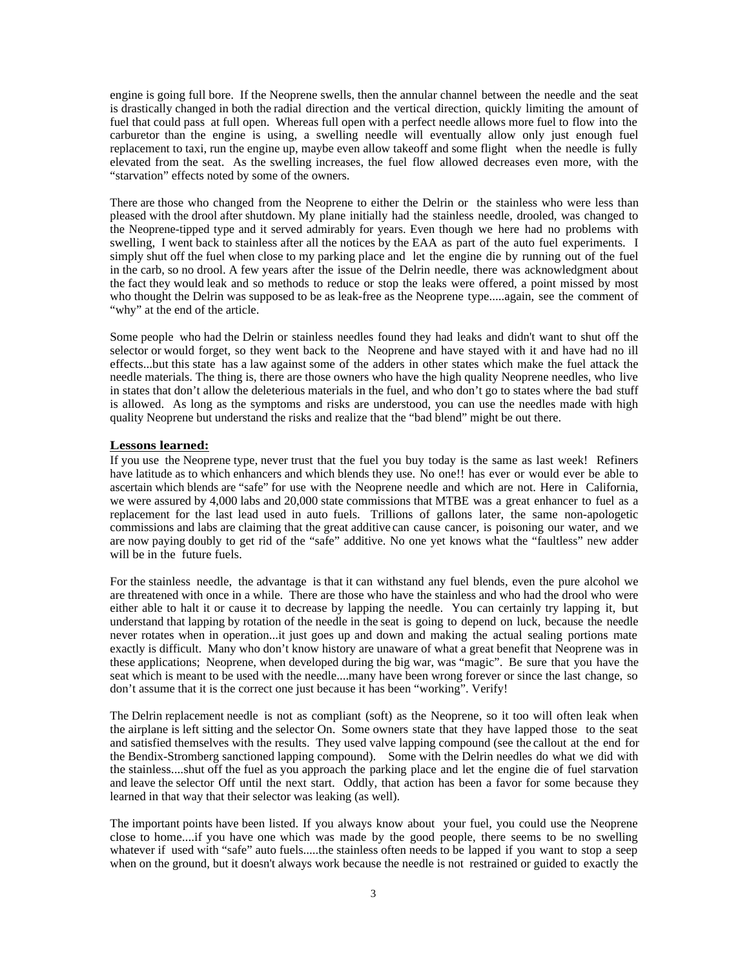engine is going full bore. If the Neoprene swells, then the annular channel between the needle and the seat is drastically changed in both the radial direction and the vertical direction, quickly limiting the amount of fuel that could pass at full open. Whereas full open with a perfect needle allows more fuel to flow into the carburetor than the engine is using, a swelling needle will eventually allow only just enough fuel replacement to taxi, run the engine up, maybe even allow takeoff and some flight when the needle is fully elevated from the seat. As the swelling increases, the fuel flow allowed decreases even more, with the "starvation" effects noted by some of the owners.

There are those who changed from the Neoprene to either the Delrin or the stainless who were less than pleased with the drool after shutdown. My plane initially had the stainless needle, drooled, was changed to the Neoprene-tipped type and it served admirably for years. Even though we here had no problems with swelling, I went back to stainless after all the notices by the EAA as part of the auto fuel experiments. I simply shut off the fuel when close to my parking place and let the engine die by running out of the fuel in the carb, so no drool. A few years after the issue of the Delrin needle, there was acknowledgment about the fact they would leak and so methods to reduce or stop the leaks were offered, a point missed by most who thought the Delrin was supposed to be as leak-free as the Neoprene type.....again, see the comment of "why" at the end of the article.

Some people who had the Delrin or stainless needles found they had leaks and didn't want to shut off the selector or would forget, so they went back to the Neoprene and have stayed with it and have had no ill effects...but this state has a law against some of the adders in other states which make the fuel attack the needle materials. The thing is, there are those owners who have the high quality Neoprene needles, who live in states that don't allow the deleterious materials in the fuel, and who don't go to states where the bad stuff is allowed. As long as the symptoms and risks are understood, you can use the needles made with high quality Neoprene but understand the risks and realize that the "bad blend" might be out there.

### **Lessons learned:**

If you use the Neoprene type, never trust that the fuel you buy today is the same as last week! Refiners have latitude as to which enhancers and which blends they use. No one!! has ever or would ever be able to ascertain which blends are "safe" for use with the Neoprene needle and which are not. Here in California, we were assured by 4,000 labs and 20,000 state commissions that MTBE was a great enhancer to fuel as a replacement for the last lead used in auto fuels. Trillions of gallons later, the same non-apologetic commissions and labs are claiming that the great additive can cause cancer, is poisoning our water, and we are now paying doubly to get rid of the "safe" additive. No one yet knows what the "faultless" new adder will be in the future fuels.

For the stainless needle, the advantage is that it can withstand any fuel blends, even the pure alcohol we are threatened with once in a while. There are those who have the stainless and who had the drool who were either able to halt it or cause it to decrease by lapping the needle. You can certainly try lapping it, but understand that lapping by rotation of the needle in the seat is going to depend on luck, because the needle never rotates when in operation...it just goes up and down and making the actual sealing portions mate exactly is difficult. Many who don't know history are unaware of what a great benefit that Neoprene was in these applications; Neoprene, when developed during the big war, was "magic". Be sure that you have the seat which is meant to be used with the needle....many have been wrong forever or since the last change, so don't assume that it is the correct one just because it has been "working". Verify!

The Delrin replacement needle is not as compliant (soft) as the Neoprene, so it too will often leak when the airplane is left sitting and the selector On. Some owners state that they have lapped those to the seat and satisfied themselves with the results. They used valve lapping compound (see the callout at the end for the Bendix-Stromberg sanctioned lapping compound). Some with the Delrin needles do what we did with the stainless....shut off the fuel as you approach the parking place and let the engine die of fuel starvation and leave the selector Off until the next start. Oddly, that action has been a favor for some because they learned in that way that their selector was leaking (as well).

The important points have been listed. If you always know about your fuel, you could use the Neoprene close to home....if you have one which was made by the good people, there seems to be no swelling whatever if used with "safe" auto fuels.....the stainless often needs to be lapped if you want to stop a seep when on the ground, but it doesn't always work because the needle is not restrained or guided to exactly the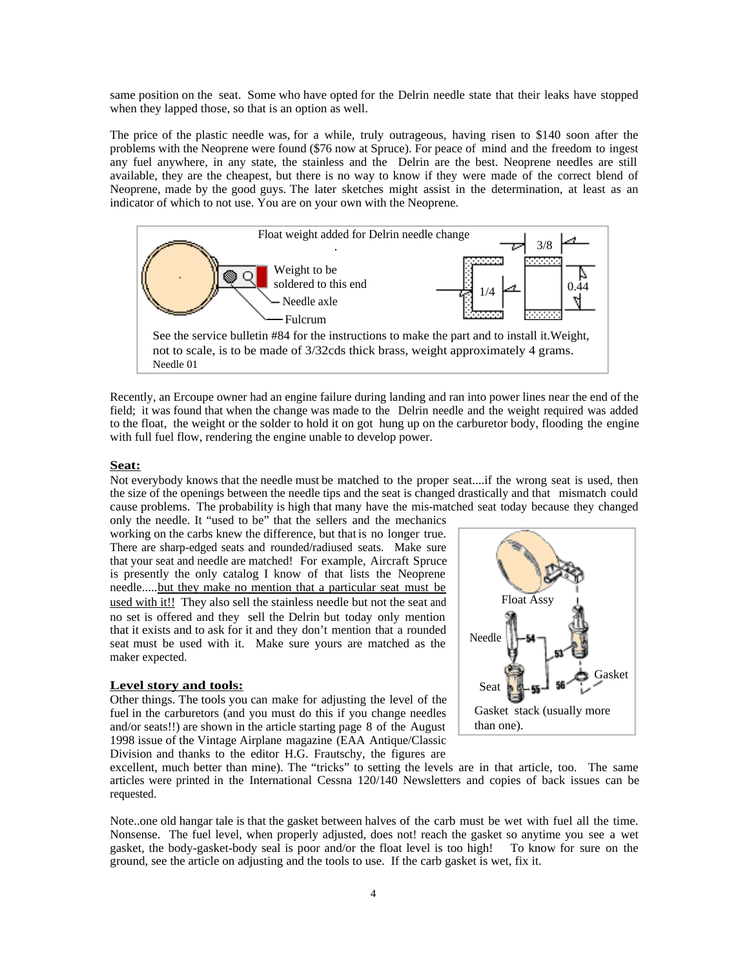same position on the seat. Some who have opted for the Delrin needle state that their leaks have stopped when they lapped those, so that is an option as well.

The price of the plastic needle was, for a while, truly outrageous, having risen to \$140 soon after the problems with the Neoprene were found (\$76 now at Spruce). For peace of mind and the freedom to ingest any fuel anywhere, in any state, the stainless and the Delrin are the best. Neoprene needles are still available, they are the cheapest, but there is no way to know if they were made of the correct blend of Neoprene, made by the good guys. The later sketches might assist in the determination, at least as an indicator of which to not use. You are on your own with the Neoprene.



Recently, an Ercoupe owner had an engine failure during landing and ran into power lines near the end of the field; it was found that when the change was made to the Delrin needle and the weight required was added to the float, the weight or the solder to hold it on got hung up on the carburetor body, flooding the engine with full fuel flow, rendering the engine unable to develop power.

#### **Seat:**

Not everybody knows that the needle must be matched to the proper seat....if the wrong seat is used, then the size of the openings between the needle tips and the seat is changed drastically and that mismatch could cause problems. The probability is high that many have the mis-matched seat today because they changed only the needle. It "used to be" that the sellers and the mechanics

working on the carbs knew the difference, but that is no longer true. There are sharp-edged seats and rounded/radiused seats. Make sure that your seat and needle are matched! For example, Aircraft Spruce is presently the only catalog I know of that lists the Neoprene needle.....but they make no mention that a particular seat must be used with it!! They also sell the stainless needle but not the seat and no set is offered and they sell the Delrin but today only mention that it exists and to ask for it and they don't mention that a rounded seat must be used with it. Make sure yours are matched as the maker expected.

#### **Level story and tools:**

Other things. The tools you can make for adjusting the level of the fuel in the carburetors (and you must do this if you change needles and/or seats!!) are shown in the article starting page 8 of the August 1998 issue of the Vintage Airplane magazine (EAA Antique/Classic Division and thanks to the editor H.G. Frautschy, the figures are



excellent, much better than mine). The "tricks" to setting the levels are in that article, too. The same articles were printed in the International Cessna 120/140 Newsletters and copies of back issues can be requested.

Note..one old hangar tale is that the gasket between halves of the carb must be wet with fuel all the time. Nonsense. The fuel level, when properly adjusted, does not! reach the gasket so anytime you see a wet gasket, the body-gasket-body seal is poor and/or the float level is too high! To know for sure on the ground, see the article on adjusting and the tools to use. If the carb gasket is wet, fix it.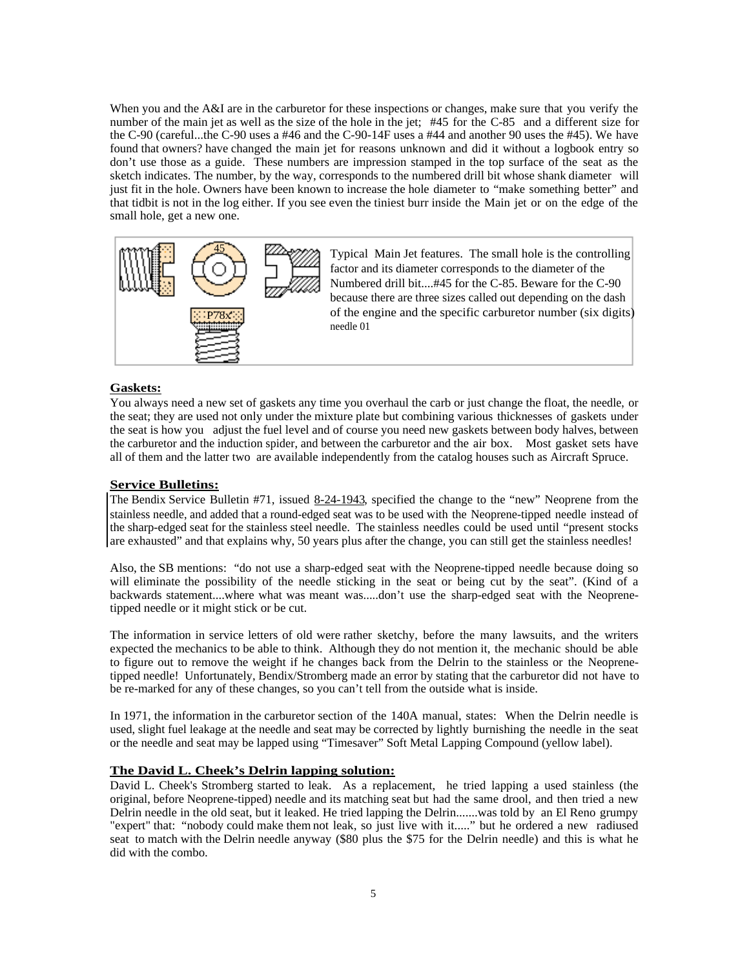When you and the A&I are in the carburetor for these inspections or changes, make sure that you verify the number of the main jet as well as the size of the hole in the jet; #45 for the C-85 and a different size for the C-90 (careful...the C-90 uses a #46 and the C-90-14F uses a #44 and another 90 uses the #45). We have found that owners? have changed the main jet for reasons unknown and did it without a logbook entry so don't use those as a guide. These numbers are impression stamped in the top surface of the seat as the sketch indicates. The number, by the way, corresponds to the numbered drill bit whose shank diameter will just fit in the hole. Owners have been known to increase the hole diameter to "make something better" and that tidbit is not in the log either. If you see even the tiniest burr inside the Main jet or on the edge of the small hole, get a new one.



Typical Main Jet features. The small hole is the controlling factor and its diameter corresponds to the diameter of the Numbered drill bit....#45 for the C-85. Beware for the C-90 because there are three sizes called out depending on the dash of the engine and the specific carburetor number (six digits). needle 01

#### **Gaskets:**

You always need a new set of gaskets any time you overhaul the carb or just change the float, the needle, or the seat; they are used not only under the mixture plate but combining various thicknesses of gaskets under the seat is how you adjust the fuel level and of course you need new gaskets between body halves, between the carburetor and the induction spider, and between the carburetor and the air box. Most gasket sets have all of them and the latter two are available independently from the catalog houses such as Aircraft Spruce.

### **Service Bulletins:**

The Bendix Service Bulletin #71, issued 8-24-1943, specified the change to the "new" Neoprene from the stainless needle, and added that a round-edged seat was to be used with the Neoprene-tipped needle instead of the sharp-edged seat for the stainless steel needle. The stainless needles could be used until "present stocks are exhausted" and that explains why, 50 years plus after the change, you can still get the stainless needles!

Also, the SB mentions: "do not use a sharp-edged seat with the Neoprene-tipped needle because doing so will eliminate the possibility of the needle sticking in the seat or being cut by the seat". (Kind of a backwards statement....where what was meant was.....don't use the sharp-edged seat with the Neoprenetipped needle or it might stick or be cut.

The information in service letters of old were rather sketchy, before the many lawsuits, and the writers expected the mechanics to be able to think. Although they do not mention it, the mechanic should be able to figure out to remove the weight if he changes back from the Delrin to the stainless or the Neoprenetipped needle! Unfortunately, Bendix/Stromberg made an error by stating that the carburetor did not have to be re-marked for any of these changes, so you can't tell from the outside what is inside.

In 1971, the information in the carburetor section of the 140A manual, states: When the Delrin needle is used, slight fuel leakage at the needle and seat may be corrected by lightly burnishing the needle in the seat or the needle and seat may be lapped using "Timesaver" Soft Metal Lapping Compound (yellow label).

### **The David L. Cheek's Delrin lapping solution:**

David L. Cheek's Stromberg started to leak. As a replacement, he tried lapping a used stainless (the original, before Neoprene-tipped) needle and its matching seat but had the same drool, and then tried a new Delrin needle in the old seat, but it leaked. He tried lapping the Delrin.......was told by an El Reno grumpy "expert" that: "nobody could make them not leak, so just live with it....." but he ordered a new radiused seat to match with the Delrin needle anyway (\$80 plus the \$75 for the Delrin needle) and this is what he did with the combo.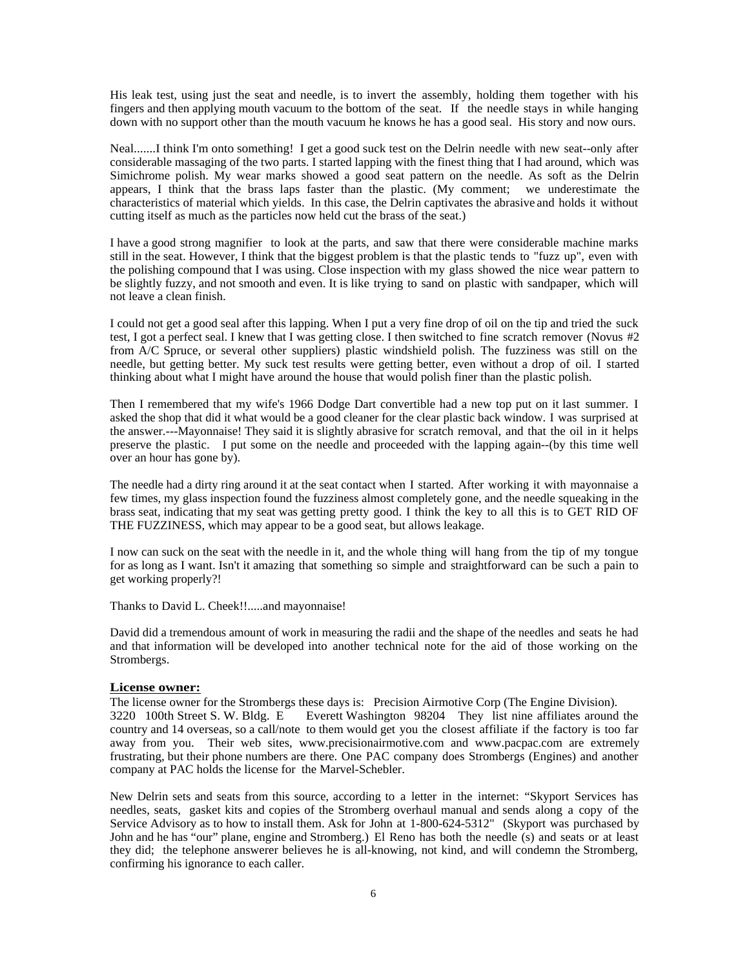His leak test, using just the seat and needle, is to invert the assembly, holding them together with his fingers and then applying mouth vacuum to the bottom of the seat. If the needle stays in while hanging down with no support other than the mouth vacuum he knows he has a good seal. His story and now ours.

Neal.......I think I'm onto something! I get a good suck test on the Delrin needle with new seat--only after considerable massaging of the two parts. I started lapping with the finest thing that I had around, which was Simichrome polish. My wear marks showed a good seat pattern on the needle. As soft as the Delrin appears, I think that the brass laps faster than the plastic. (My comment; we underestimate the characteristics of material which yields. In this case, the Delrin captivates the abrasive and holds it without cutting itself as much as the particles now held cut the brass of the seat.)

I have a good strong magnifier to look at the parts, and saw that there were considerable machine marks still in the seat. However, I think that the biggest problem is that the plastic tends to "fuzz up", even with the polishing compound that I was using. Close inspection with my glass showed the nice wear pattern to be slightly fuzzy, and not smooth and even. It is like trying to sand on plastic with sandpaper, which will not leave a clean finish.

I could not get a good seal after this lapping. When I put a very fine drop of oil on the tip and tried the suck test, I got a perfect seal. I knew that I was getting close. I then switched to fine scratch remover (Novus #2 from A/C Spruce, or several other suppliers) plastic windshield polish. The fuzziness was still on the needle, but getting better. My suck test results were getting better, even without a drop of oil. I started thinking about what I might have around the house that would polish finer than the plastic polish.

Then I remembered that my wife's 1966 Dodge Dart convertible had a new top put on it last summer. I asked the shop that did it what would be a good cleaner for the clear plastic back window. I was surprised at the answer.---Mayonnaise! They said it is slightly abrasive for scratch removal, and that the oil in it helps preserve the plastic. I put some on the needle and proceeded with the lapping again--(by this time well over an hour has gone by).

The needle had a dirty ring around it at the seat contact when I started. After working it with mayonnaise a few times, my glass inspection found the fuzziness almost completely gone, and the needle squeaking in the brass seat, indicating that my seat was getting pretty good. I think the key to all this is to GET RID OF THE FUZZINESS, which may appear to be a good seat, but allows leakage.

I now can suck on the seat with the needle in it, and the whole thing will hang from the tip of my tongue for as long as I want. Isn't it amazing that something so simple and straightforward can be such a pain to get working properly?!

Thanks to David L. Cheek!!.....and mayonnaise!

David did a tremendous amount of work in measuring the radii and the shape of the needles and seats he had and that information will be developed into another technical note for the aid of those working on the Strombergs.

#### **License owner:**

The license owner for the Strombergs these days is: Precision Airmotive Corp (The Engine Division). 3220 100th Street S. W. Bldg. E Everett Washington 98204 They list nine affiliates around the country and 14 overseas, so a call/note to them would get you the closest affiliate if the factory is too far away from you. Their web sites, www.precisionairmotive.com and www.pacpac.com are extremely frustrating, but their phone numbers are there. One PAC company does Strombergs (Engines) and another company at PAC holds the license for the Marvel-Schebler.

New Delrin sets and seats from this source, according to a letter in the internet: "Skyport Services has needles, seats, gasket kits and copies of the Stromberg overhaul manual and sends along a copy of the Service Advisory as to how to install them. Ask for John at 1-800-624-5312" (Skyport was purchased by John and he has "our" plane, engine and Stromberg.) El Reno has both the needle (s) and seats or at least they did; the telephone answerer believes he is all-knowing, not kind, and will condemn the Stromberg, confirming his ignorance to each caller.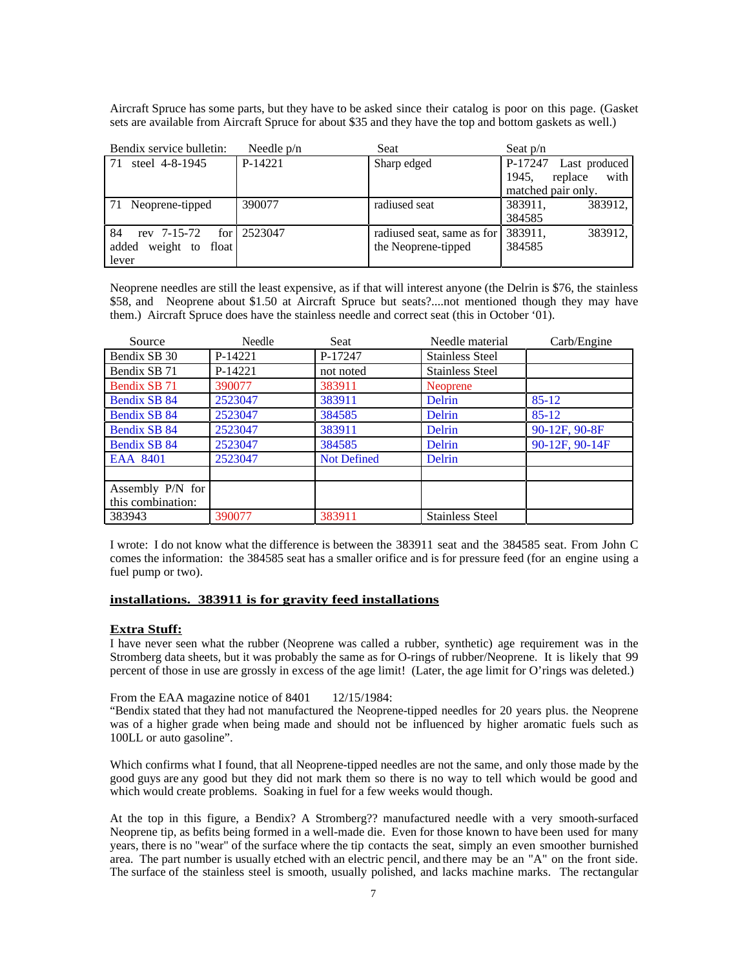Aircraft Spruce has some parts, but they have to be asked since their catalog is poor on this page. (Gasket sets are available from Aircraft Spruce for about \$35 and they have the top and bottom gaskets as well.)

| Bendix service bulletin:    | Needle $p/n$             | Seat                       | Seat $p/n$               |
|-----------------------------|--------------------------|----------------------------|--------------------------|
| steel 4-8-1945              | P-14221                  | Sharp edged                | P-17247<br>Last produced |
|                             |                          |                            | 1945.<br>with<br>replace |
|                             |                          |                            | matched pair only.       |
| 71 Neoprene-tipped          | 390077                   | radiused seat              | 383911,<br>383912.       |
|                             |                          |                            | 384585                   |
| 84<br>rev 7-15-72           | for $\frac{12523047}{ }$ | radiused seat, same as for | 383911,<br>383912,       |
| weight to<br>float<br>added |                          | the Neoprene-tipped        | 384585                   |
| lever                       |                          |                            |                          |

Neoprene needles are still the least expensive, as if that will interest anyone (the Delrin is \$76, the stainless \$58, and Neoprene about \$1.50 at Aircraft Spruce but seats?....not mentioned though they may have them.) Aircraft Spruce does have the stainless needle and correct seat (this in October '01).

| Source             | Needle  | Seat               | Needle material        | Carb/Engine    |
|--------------------|---------|--------------------|------------------------|----------------|
| Bendix SB 30       | P-14221 | P-17247            | <b>Stainless Steel</b> |                |
| Bendix SB 71       | P-14221 | not noted          | <b>Stainless Steel</b> |                |
| Bendix SB 71       | 390077  | 383911             | <b>Neoprene</b>        |                |
| Bendix SB 84       | 2523047 | 383911             | Delrin                 | $85 - 12$      |
| Bendix SB 84       | 2523047 | 384585             | Delrin                 | $85 - 12$      |
| Bendix SB 84       | 2523047 | 383911             | Delrin                 | 90-12F, 90-8F  |
| Bendix SB 84       | 2523047 | 384585             | Delrin                 | 90-12F, 90-14F |
| EAA 8401           | 2523047 | <b>Not Defined</b> | Delrin                 |                |
|                    |         |                    |                        |                |
| Assembly $P/N$ for |         |                    |                        |                |
| this combination:  |         |                    |                        |                |
| 383943             | 390077  | 383911             | <b>Stainless Steel</b> |                |

I wrote: I do not know what the difference is between the 383911 seat and the 384585 seat. From John C comes the information: the 384585 seat has a smaller orifice and is for pressure feed (for an engine using a fuel pump or two).

#### **installations. 383911 is for gravity feed installations**

#### **Extra Stuff:**

I have never seen what the rubber (Neoprene was called a rubber, synthetic) age requirement was in the Stromberg data sheets, but it was probably the same as for O-rings of rubber/Neoprene. It is likely that 99 percent of those in use are grossly in excess of the age limit! (Later, the age limit for O'rings was deleted.)

From the EAA magazine notice of 8401 12/15/1984:

"Bendix stated that they had not manufactured the Neoprene-tipped needles for 20 years plus. the Neoprene was of a higher grade when being made and should not be influenced by higher aromatic fuels such as 100LL or auto gasoline".

Which confirms what I found, that all Neoprene-tipped needles are not the same, and only those made by the good guys are any good but they did not mark them so there is no way to tell which would be good and which would create problems. Soaking in fuel for a few weeks would though.

At the top in this figure, a Bendix? A Stromberg?? manufactured needle with a very smooth-surfaced Neoprene tip, as befits being formed in a well-made die. Even for those known to have been used for many years, there is no "wear" of the surface where the tip contacts the seat, simply an even smoother burnished area. The part number is usually etched with an electric pencil, and there may be an "A" on the front side. The surface of the stainless steel is smooth, usually polished, and lacks machine marks. The rectangular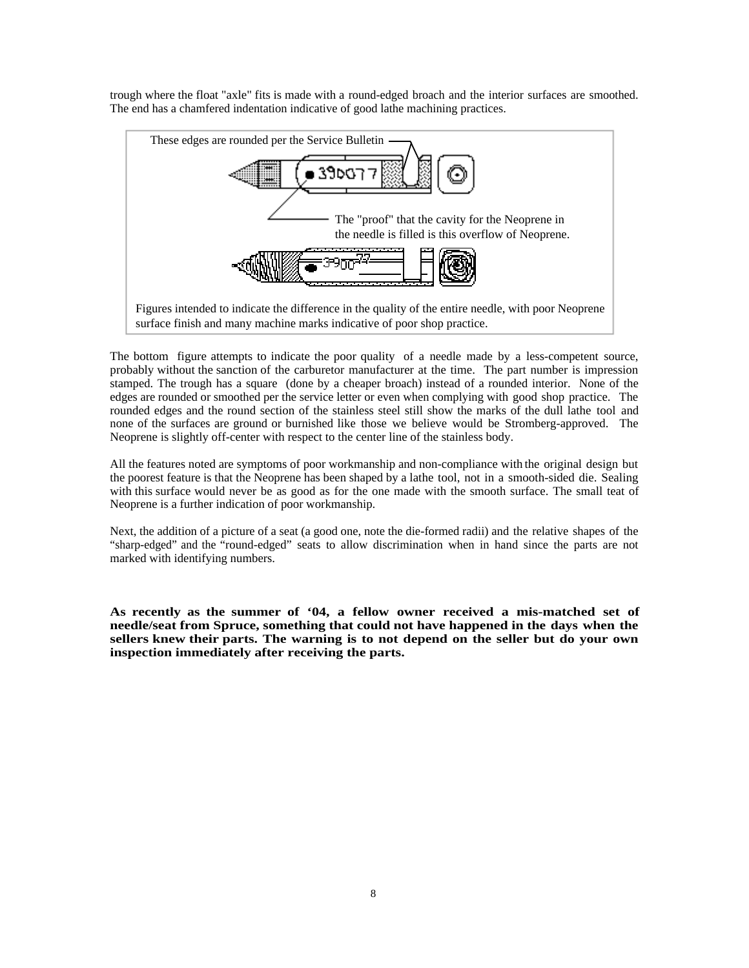trough where the float "axle" fits is made with a round-edged broach and the interior surfaces are smoothed. The end has a chamfered indentation indicative of good lathe machining practices.



The bottom figure attempts to indicate the poor quality of a needle made by a less-competent source, probably without the sanction of the carburetor manufacturer at the time. The part number is impression stamped. The trough has a square (done by a cheaper broach) instead of a rounded interior. None of the edges are rounded or smoothed per the service letter or even when complying with good shop practice. The rounded edges and the round section of the stainless steel still show the marks of the dull lathe tool and none of the surfaces are ground or burnished like those we believe would be Stromberg-approved. The Neoprene is slightly off-center with respect to the center line of the stainless body.

All the features noted are symptoms of poor workmanship and non-compliance with the original design but the poorest feature is that the Neoprene has been shaped by a lathe tool, not in a smooth-sided die. Sealing with this surface would never be as good as for the one made with the smooth surface. The small teat of Neoprene is a further indication of poor workmanship.

Next, the addition of a picture of a seat (a good one, note the die-formed radii) and the relative shapes of the "sharp-edged" and the "round-edged" seats to allow discrimination when in hand since the parts are not marked with identifying numbers.

**As recently as the summer of '04, a fellow owner received a mis-matched set of needle/seat from Spruce, something that could not have happened in the days when the sellers knew their parts. The warning is to not depend on the seller but do your own inspection immediately after receiving the parts.**